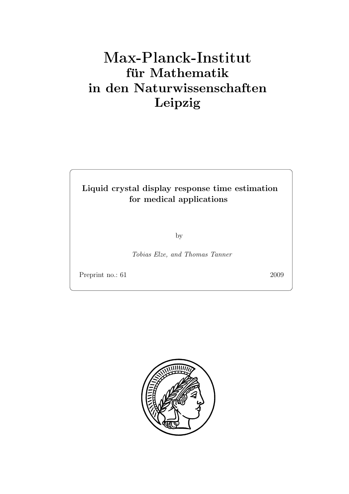# Max-Plan
k-Institut für Mathematik in den Naturwissenschaften Leipzig

## Liquid crystal display response time estimation for medical applications

by

Tobias Elze, and Thomas Tanner

Preprint no.: 61 2009

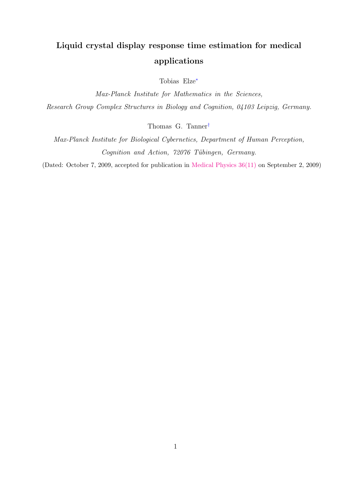# Liquid crystal display response time estimation for medical applications

Tobias Elze[∗](#page-18-0)

Max-Planck Institute for Mathematics in the Sciences, Research Group Complex Structures in Biology and Cognition, 04103 Leipzig, Germany.

Thomas G. Tanner[†](#page-18-1)

Max-Planck Institute for Biological Cybernetics, Department of Human Perception, Cognition and Action, 72076 Tübingen, Germany.

(Dated: October 7, 2009, accepted for publication in [Medical Physics 36\(11\)](http://scitation.aip.org/medphys/) on September 2, 2009)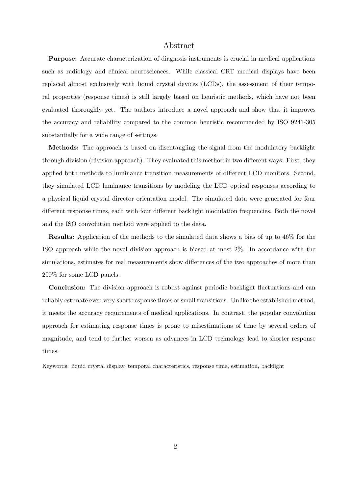### Abstract

Purpose: Accurate characterization of diagnosis instruments is crucial in medical applications such as radiology and clinical neurosciences. While classical CRT medical displays have been replaced almost exclusively with liquid crystal devices (LCDs), the assessment of their temporal properties (response times) is still largely based on heuristic methods, which have not been evaluated thoroughly yet. The authors introduce a novel approach and show that it improves the accuracy and reliability compared to the common heuristic recommended by ISO 9241-305 substantially for a wide range of settings.

Methods: The approach is based on disentangling the signal from the modulatory backlight through division (division approach). They evaluated this method in two different ways: First, they applied both methods to luminance transition measurements of different LCD monitors. Second, they simulated LCD luminance transitions by modeling the LCD optical responses according to a physical liquid crystal director orientation model. The simulated data were generated for four different response times, each with four different backlight modulation frequencies. Both the novel and the ISO convolution method were applied to the data.

Results: Application of the methods to the simulated data shows a bias of up to 46% for the ISO approach while the novel division approach is biased at most 2%. In accordance with the simulations, estimates for real measurements show differences of the two approaches of more than 200% for some LCD panels.

Conclusion: The division approach is robust against periodic backlight fluctuations and can reliably estimate even very short response times or small transitions. Unlike the established method, it meets the accuracy requirements of medical applications. In contrast, the popular convolution approach for estimating response times is prone to misestimations of time by several orders of magnitude, and tend to further worsen as advances in LCD technology lead to shorter response times.

Keywords: liquid crystal display, temporal characteristics, response time, estimation, backlight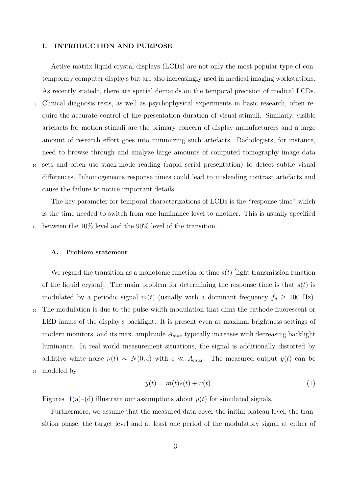#### I. INTRODUCTION AND PURPOSE

Active matrix liquid crystal displays (LCDs) are not only the most popular type of contemporary computer displays but are also increasingly used in medical imaging workstations. As recently stated<sup>[1](#page-18-2)</sup>, there are special demands on the temporal precision of medical LCDs. <sup>5</sup> Clinical diagnosis tests, as well as psychophysical experiments in basic research, often require the accurate control of the presentation duration of visual stimuli. Similarly, visible artefacts for motion stimuli are the primary concern of display manufacturers and a large amount of research effort goes into minimizing such artefacts. Radiologists, for instance, need to browse through and analyze large amounts of computed tomography image data <sup>10</sup> sets and often use stack-mode reading (rapid serial presentation) to detect subtle visual differences. Inhomogeneous response times could lead to misleading contrast artefacts and cause the failure to notice important details.

The key parameter for temporal characterizations of LCDs is the "response time" which is the time needed to switch from one luminance level to another. This is usually specified <sup>15</sup> between the 10% level and the 90% level of the transition.

#### A. Problem statement

We regard the transition as a monotonic function of time  $s(t)$  [light transmission function of the liquid crystal. The main problem for determining the response time is that  $s(t)$  is modulated by a periodic signal  $m(t)$  (usually with a dominant frequency  $f_d \geq 100$  Hz). <sup>20</sup> The modulation is due to the pulse-width modulation that dims the cathode fluorescent or LED lamps of the display's backlight. It is present even at maximal brightness settings of modern monitors, and its max. amplitude  $A_{max}$  typically increases with decreasing backlight luminance. In real world measurement situations, the signal is additionally distorted by additive white noise  $\nu(t) \sim N(0, \epsilon)$  with  $\epsilon \ll A_{max}$ . The measured output  $y(t)$  can be <sup>25</sup> modeled by

<span id="page-4-0"></span>
$$
y(t) = m(t)s(t) + \nu(t). \tag{1}
$$

Figures  $1(a)$  $1(a)$ –(d) illustrate our assumptions about  $y(t)$  for simulated signals.

Furthermore, we assume that the measured data cover the initial plateau level, the transition phase, the target level and at least one period of the modulatory signal at either of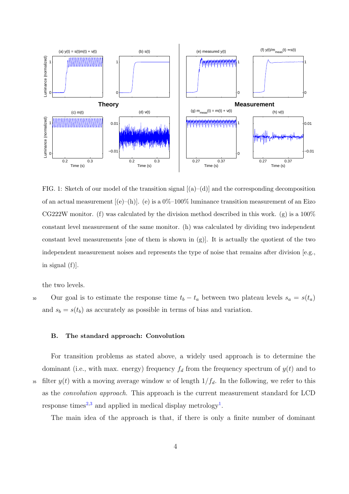

<span id="page-5-0"></span>FIG. 1: Sketch of our model of the transition signal  $[(a)-(d)]$  and the corresponding decomposition of an actual measurement  $[(e)-(h)]$ . (e) is a  $0\%$ -100% luminance transition measurement of an Eizo CG222W monitor. (f) was calculated by the division method described in this work. (g) is a  $100\%$ constant level measurement of the same monitor. (h) was calculated by dividing two independent constant level measurements [one of them is shown in  $(g)$ ]. It is actually the quotient of the two independent measurement noises and represents the type of noise that remains after division [e.g., in signal (f)].

the two levels.

30 Our goal is to estimate the response time  $t_b - t_a$  between two plateau levels  $s_a = s(t_a)$ and  $s_b = s(t_b)$  as accurately as possible in terms of bias and variation.

#### B. The standard approach: Convolution

For transition problems as stated above, a widely used approach is to determine the dominant (i.e., with max. energy) frequency  $f_d$  from the frequency spectrum of  $y(t)$  and to <sup>35</sup> filter  $y(t)$  with a moving average window w of length  $1/f_d$ . In the following, we refer to this as the convolution approach. This approach is the current measurement standard for LCD response times<sup>[2](#page-18-3)[,3](#page-18-4)</sup> and applied in medical display metrology<sup>[1](#page-18-2)</sup>.

The main idea of the approach is that, if there is only a finite number of dominant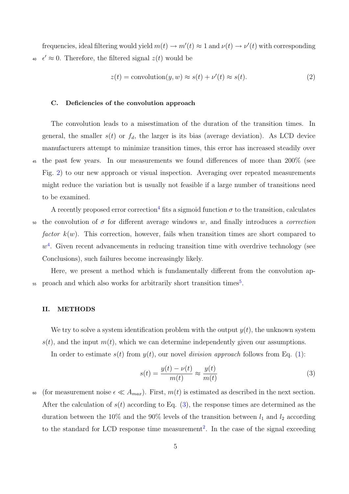frequencies, ideal filtering would yield  $m(t) \to m'(t) \approx 1$  and  $\nu(t) \to \nu'(t)$  with corresponding <sup>40</sup>  $\epsilon' \approx 0$ . Therefore, the filtered signal  $z(t)$  would be

<span id="page-6-1"></span>
$$
z(t) = \text{convolution}(y, w) \approx s(t) + \nu'(t) \approx s(t). \tag{2}
$$

#### C. Deficiencies of the convolution approach

The convolution leads to a misestimation of the duration of the transition times. In general, the smaller  $s(t)$  or  $f_d$ , the larger is its bias (average deviation). As LCD device manufacturers attempt to minimize transition times, this error has increased steadily over <sup>45</sup> the past few years. In our measurements we found differences of more than 200% (see Fig. [2\)](#page-11-0) to our new approach or visual inspection. Averaging over repeated measurements might reduce the variation but is usually not feasible if a large number of transitions need to be examined.

A recently proposed error correction<sup>[4](#page-18-5)</sup> fits a sigmoid function  $\sigma$  to the transition, calculates 50 the convolution of  $\sigma$  for different average windows w, and finally introduces a *correction* factor  $k(w)$ . This correction, however, fails when transition times are short compared to  $w<sup>4</sup>$  $w<sup>4</sup>$  $w<sup>4</sup>$ . Given recent advancements in reducing transition time with overdrive technology (see Conclusions), such failures become increasingly likely.

Here, we present a method which is fundamentally different from the convolution ap-<sup>[5](#page-18-6)5</sup> proach and which also works for arbitrarily short transition times<sup>5</sup>.

#### II. METHODS

We try to solve a system identification problem with the output  $y(t)$ , the unknown system  $s(t)$ , and the input  $m(t)$ , which we can determine independently given our assumptions.

In order to estimate  $s(t)$  from  $y(t)$ , our novel *division approach* follows from Eq. [\(1\)](#page-4-0):

<span id="page-6-0"></span>
$$
s(t) = \frac{y(t) - \nu(t)}{m(t)} \approx \frac{y(t)}{m(t)}
$$
\n(3)

60 (for measurement noise  $\epsilon \ll A_{max}$ ). First,  $m(t)$  is estimated as described in the next section. After the calculation of  $s(t)$  according to Eq. [\(3\)](#page-6-0), the response times are determined as the duration between the 10% and the 90% levels of the transition between  $l_1$  and  $l_2$  according to the standard for LCD response time measurement<sup>[2](#page-18-3)</sup>. In the case of the signal exceeding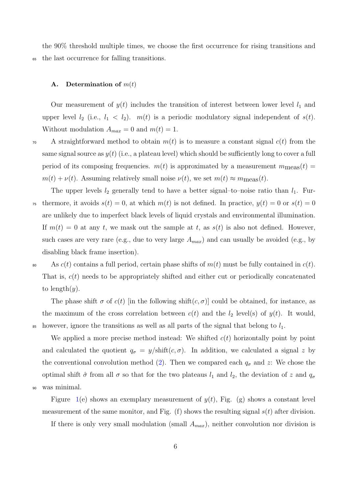the 90% threshold multiple times, we choose the first occurrence for rising transitions and <sup>65</sup> the last occurrence for falling transitions.

#### A. Determination of  $m(t)$

Our measurement of  $y(t)$  includes the transition of interest between lower level  $l_1$  and upper level  $l_2$  (i.e.,  $l_1 < l_2$ ).  $m(t)$  is a periodic modulatory signal independent of  $s(t)$ . Without modulation  $A_{max} = 0$  and  $m(t) = 1$ .

 $70$  A straightforward method to obtain  $m(t)$  is to measure a constant signal  $c(t)$  from the same signal source as  $y(t)$  (i.e., a plateau level) which should be sufficiently long to cover a full period of its composing frequencies.  $m(t)$  is approximated by a measurement  $m_{\text{meas}}(t)$  =  $m(t) + \nu(t)$ . Assuming relatively small noise  $\nu(t)$ , we set  $m(t) \approx m_{\text{meas}}(t)$ .

The upper levels  $l_2$  generally tend to have a better signal–to–noise ratio than  $l_1$ . Fur-<sup>75</sup> thermore, it avoids  $s(t) = 0$ , at which  $m(t)$  is not defined. In practice,  $y(t) = 0$  or  $s(t) = 0$ are unlikely due to imperfect black levels of liquid crystals and environmental illumination. If  $m(t) = 0$  at any t, we mask out the sample at t, as  $s(t)$  is also not defined. However, such cases are very rare (e.g., due to very large  $A_{max}$ ) and can usually be avoided (e.g., by disabling black frame insertion).

80 As  $c(t)$  contains a full period, certain phase shifts of  $m(t)$  must be fully contained in  $c(t)$ . That is,  $c(t)$  needs to be appropriately shifted and either cut or periodically concatenated to length $(y)$ .

The phase shift  $\sigma$  of  $c(t)$  [in the following shift $(c, \sigma)$ ] could be obtained, for instance, as the maximum of the cross correlation between  $c(t)$  and the  $l_2$  level(s) of  $y(t)$ . It would, <sup>85</sup> however, ignore the transitions as well as all parts of the signal that belong to  $l_1$ .

We applied a more precise method instead: We shifted  $c(t)$  horizontally point by point and calculated the quotient  $q_{\sigma} = y/\text{shift}(c, \sigma)$ . In addition, we calculated a signal z by the conventional convolution method [\(2\)](#page-6-1). Then we compared each  $q_{\sigma}$  and z: We chose the optimal shift  $\hat{\sigma}$  from all  $\sigma$  so that for the two plateaus  $l_1$  and  $l_2$ , the deviation of z and  $q_{\sigma}$ <sup>90</sup> was minimal.

Figure [1\(](#page-5-0)e) shows an exemplary measurement of  $y(t)$ , Fig. (g) shows a constant level measurement of the same monitor, and Fig.  $(f)$  shows the resulting signal  $s(t)$  after division.

If there is only very small modulation (small  $A_{max}$ ), neither convolution nor division is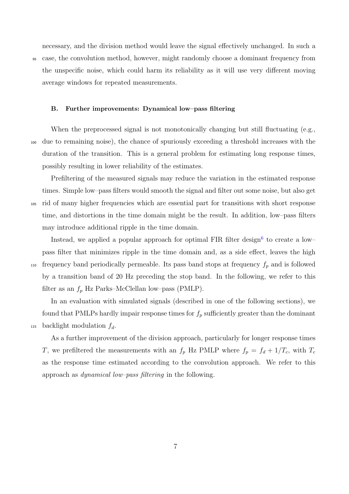necessary, and the division method would leave the signal effectively unchanged. In such a <sup>95</sup> case, the convolution method, however, might randomly choose a dominant frequency from the unspecific noise, which could harm its reliability as it will use very different moving average windows for repeated measurements.

#### B. Further improvements: Dynamical low–pass filtering

When the preprocessed signal is not monotonically changing but still fluctuating (e.g., <sup>100</sup> due to remaining noise), the chance of spuriously exceeding a threshold increases with the duration of the transition. This is a general problem for estimating long response times, possibly resulting in lower reliability of the estimates.

Prefiltering of the measured signals may reduce the variation in the estimated response times. Simple low–pass filters would smooth the signal and filter out some noise, but also get <sup>105</sup> rid of many higher frequencies which are essential part for transitions with short response time, and distortions in the time domain might be the result. In addition, low–pass filters may introduce additional ripple in the time domain.

Instead, we applied a popular approach for optimal FIR filter design<sup>[6](#page-18-7)</sup> to create a low– pass filter that minimizes ripple in the time domain and, as a side effect, leaves the high 110 frequency band periodically permeable. Its pass band stops at frequency  $f_p$  and is followed by a transition band of 20 Hz preceding the stop band. In the following, we refer to this filter as an  $f_p$  Hz Parks–McClellan low–pass (PMLP).

In an evaluation with simulated signals (described in one of the following sections), we found that PMLPs hardly impair response times for  $f_p$  sufficiently greater than the dominant 115 backlight modulation  $f_d$ .

As a further improvement of the division approach, particularly for longer response times T, we prefiltered the measurements with an  $f_p$  Hz PMLP where  $f_p = f_d + 1/T_c$ , with  $T_c$ as the response time estimated according to the convolution approach. We refer to this approach as dynamical low–pass filtering in the following.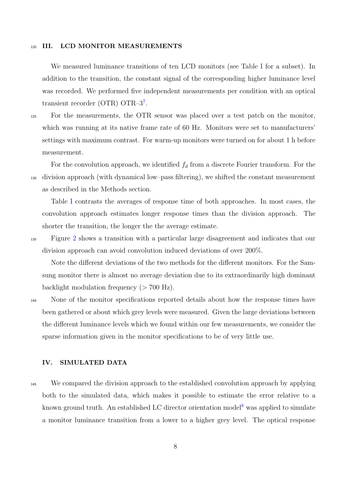#### 120 III. LCD MONITOR MEASUREMENTS

We measured luminance transitions of ten LCD monitors (see Table [I](#page-10-0) for a subset). In addition to the transition, the constant signal of the corresponding higher luminance level was recorded. We performed five independent measurements per condition with an optical transient recorder (OTR) OTR-3<sup>[7](#page-18-8)</sup>.

<sup>125</sup> For the measurements, the OTR sensor was placed over a test patch on the monitor, which was running at its native frame rate of 60 Hz. Monitors were set to manufacturers' settings with maximum contrast. For warm-up monitors were turned on for about 1 h before measurement.

For the convolution approach, we identified  $f_d$  from a discrete Fourier transform. For the <sup>130</sup> division approach (with dynamical low–pass filtering), we shifted the constant measurement as described in the Methods section.

Table [I](#page-10-0) contrasts the averages of response time of both approaches. In most cases, the convolution approach estimates longer response times than the division approach. The shorter the transition, the longer the the average estimate.

<sup>135</sup> Figure [2](#page-11-0) shows a transition with a particular large disagreement and indicates that our division approach can avoid convolution induced deviations of over 200%.

Note the different deviations of the two methods for the different monitors. For the Samsung monitor there is almost no average deviation due to its extraordinarily high dominant backlight modulation frequency  $(> 700 \text{ Hz})$ .

<sup>140</sup> None of the monitor specifications reported details about how the response times have been gathered or about which grey levels were measured. Given the large deviations between the different luminance levels which we found within our few measurements, we consider the sparse information given in the monitor specifications to be of very little use.

### IV. SIMULATED DATA

<sup>145</sup> We compared the division approach to the established convolution approach by applying both to the simulated data, which makes it possible to estimate the error relative to a known ground truth. An established LC director orientation model<sup>[8](#page-18-9)</sup> was applied to simulate a monitor luminance transition from a lower to a higher grey level. The optical response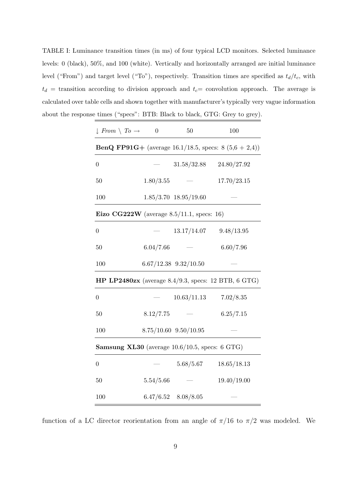<span id="page-10-0"></span>TABLE I: Luminance transition times (in ms) of four typical LCD monitors. Selected luminance levels: 0 (black), 50%, and 100 (white). Vertically and horizontally arranged are initial luminance level ("From") and target level ("To"), respectively. Transition times are specified as  $t_d/t_c$ , with  $t_d$  = transition according to division approach and  $t_c$  = convolution approach. The average is calculated over table cells and shown together with manufacturer's typically very vague information about the response times ("specs": BTB: Black to black, GTG: Grey to grey).

| $\downarrow$ From $\setminus$ To $\rightarrow$                   | $\boldsymbol{0}$ | 50                        | 100                       |
|------------------------------------------------------------------|------------------|---------------------------|---------------------------|
| <b>BenQ FP91G</b> + (average 16.1/18.5, specs: 8 $(5,6 + 2,4)$ ) |                  |                           |                           |
| $\boldsymbol{0}$                                                 |                  | 31.58/32.88               | 24.80/27.92               |
| 50                                                               | 1.80/3.55        |                           | 17.70/23.15               |
| 100                                                              |                  | $1.85/3.70$ $18.95/19.60$ |                           |
| Eizo CG222W (average $8.5/11.1$ , specs: 16)                     |                  |                           |                           |
| $\boldsymbol{0}$                                                 |                  | 13.17/14.07               | 9.48/13.95                |
| 50                                                               | 6.04/7.66        |                           | 6.60/7.96                 |
| 100                                                              |                  | $6.67/12.38$ $9.32/10.50$ |                           |
| HP LP2480zx (average $8.4/9.3$ , specs: 12 BTB, 6 GTG)           |                  |                           |                           |
| $\boldsymbol{0}$                                                 |                  |                           | $10.63/11.13$ $7.02/8.35$ |
| 50                                                               | 8.12/7.75        |                           | 6.25/7.15                 |
| 100                                                              |                  | $8.75/10.60$ $9.50/10.95$ |                           |
| <b>Samsung XL30</b> (average $10.6/10.5$ , specs: 6 GTG)         |                  |                           |                           |
| $\boldsymbol{0}$                                                 |                  | 5.68/5.67                 | 18.65/18.13               |
| 50                                                               | 5.54/5.66        |                           | 19.40/19.00               |
| 100                                                              |                  | $6.47/6.52$ $8.08/8.05$   |                           |

function of a LC director reorientation from an angle of  $\pi/16$  to  $\pi/2$  was modeled. We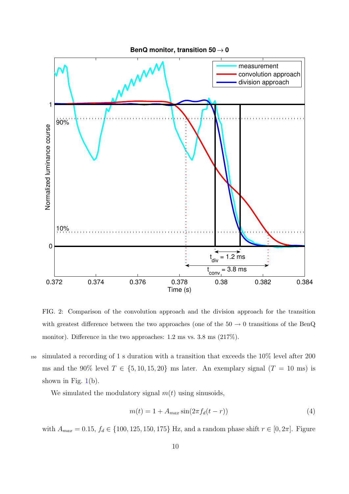

<span id="page-11-0"></span>FIG. 2: Comparison of the convolution approach and the division approach for the transition with greatest difference between the two approaches (one of the  $50 \rightarrow 0$  transitions of the BenQ monitor). Difference in the two approaches: 1.2 ms vs. 3.8 ms (217%).

<sup>150</sup> simulated a recording of 1 s duration with a transition that exceeds the 10% level after 200 ms and the 90% level  $T \in \{5, 10, 15, 20\}$  ms later. An exemplary signal  $(T = 10 \text{ ms})$  is shown in Fig.  $1(b)$  $1(b)$ .

We simulated the modulatory signal  $m(t)$  using sinusoids,

<span id="page-11-1"></span>
$$
m(t) = 1 + A_{max} \sin(2\pi f_d(t - r))
$$
\n<sup>(4)</sup>

with  $A_{max} = 0.15, f_d \in \{100, 125, 150, 175\}$  Hz, and a random phase shift  $r \in [0, 2\pi]$ . Figure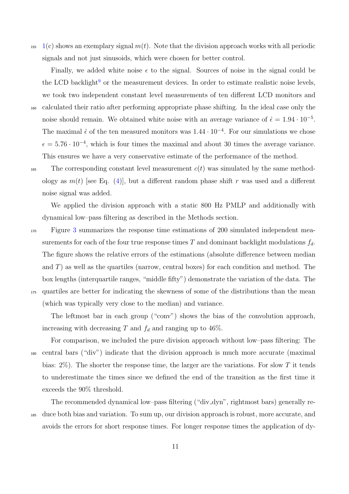$1(6)$  $1(6)$  shows an exemplary signal  $m(t)$ . Note that the division approach works with all periodic signals and not just sinusoids, which were chosen for better control.

Finally, we added white noise  $\epsilon$  to the signal. Sources of noise in the signal could be the LCD backlight<sup>[9](#page-18-10)</sup> or the measurement devices. In order to estimate realistic noise levels, we took two independent constant level measurements of ten different LCD monitors and <sup>160</sup> calculated their ratio after performing appropriate phase shifting. In the ideal case only the noise should remain. We obtained white noise with an average variance of  $\hat{\epsilon} = 1.94 \cdot 10^{-5}$ . The maximal  $\hat{\epsilon}$  of the ten measured monitors was 1.44 · 10<sup>-4</sup>. For our simulations we chose  $\epsilon = 5.76 \cdot 10^{-4}$ , which is four times the maximal and about 30 times the average variance. This ensures we have a very conservative estimate of the performance of the method.

<sup>165</sup> The corresponding constant level measurement  $c(t)$  was simulated by the same methodology as  $m(t)$  [see Eq. [\(4\)](#page-11-1)], but a different random phase shift r was used and a different noise signal was added.

We applied the division approach with a static 800 Hz PMLP and additionally with dynamical low–pass filtering as described in the Methods section.

<sup>170</sup> Figure [3](#page-13-0) summarizes the response time estimations of 200 simulated independent measurements for each of the four true response times  $T$  and dominant backlight modulations  $f_d$ . The figure shows the relative errors of the estimations (absolute difference between median and  $T$ ) as well as the quartiles (narrow, central boxes) for each condition and method. The box lengths (interquartile ranges, "middle fifty") demonstrate the variation of the data. The <sup>175</sup> quartiles are better for indicating the skewness of some of the distributions than the mean (which was typically very close to the median) and variance.

The leftmost bar in each group ("conv") shows the bias of the convolution approach, increasing with decreasing T and  $f_d$  and ranging up to 46%.

For comparison, we included the pure division approach without low–pass filtering: The <sup>180</sup> central bars ("div") indicate that the division approach is much more accurate (maximal bias:  $2\%$ ). The shorter the response time, the larger are the variations. For slow T it tends to underestimate the times since we defined the end of the transition as the first time it exceeds the 90% threshold.

The recommended dynamical low–pass filtering ("div dyn", rightmost bars) generally re-<sup>185</sup> duce both bias and variation. To sum up, our division approach is robust, more accurate, and avoids the errors for short response times. For longer response times the application of dy-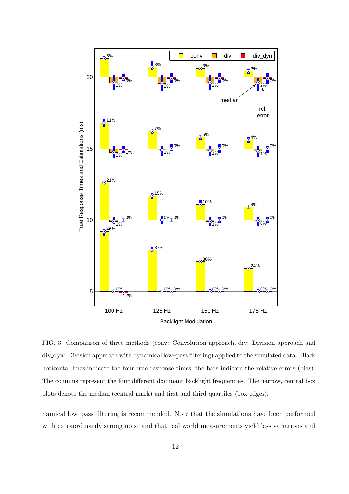

<span id="page-13-0"></span>FIG. 3: Comparison of three methods (conv: Convolution approach, div: Division approach and div dyn: Division approach with dynamical low–pass filtering) applied to the simulated data. Black horizontal lines indicate the four true response times, the bars indicate the relative errors (bias). The columns represent the four different dominant backlight frequencies. The narrow, central box plots denote the median (central mark) and first and third quartiles (box edges).

namical low–pass filtering is recommended. Note that the simulations have been performed with extraordinarily strong noise and that real world measurements yield less variations and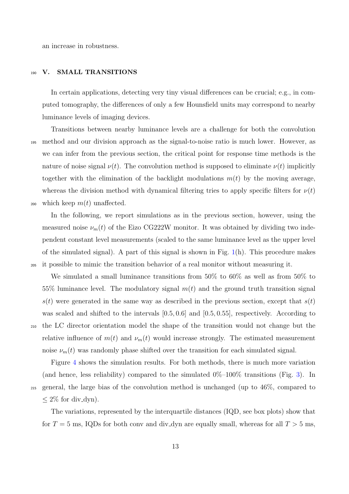an increase in robustness.

#### 190 V. SMALL TRANSITIONS

In certain applications, detecting very tiny visual differences can be crucial; e.g., in computed tomography, the differences of only a few Hounsfield units may correspond to nearby luminance levels of imaging devices.

Transitions between nearby luminance levels are a challenge for both the convolution <sup>195</sup> method and our division approach as the signal-to-noise ratio is much lower. However, as we can infer from the previous section, the critical point for response time methods is the nature of noise signal  $\nu(t)$ . The convolution method is supposed to eliminate  $\nu(t)$  implicitly together with the elimination of the backlight modulations  $m(t)$  by the moving average, whereas the division method with dynamical filtering tries to apply specific filters for  $\nu(t)$ 200 which keep  $m(t)$  unaffected.

In the following, we report simulations as in the previous section, however, using the measured noise  $\nu_m(t)$  of the Eizo CG222W monitor. It was obtained by dividing two independent constant level measurements (scaled to the same luminance level as the upper level of the simulated signal). A part of this signal is shown in Fig.  $1(h)$  $1(h)$ . This procedure makes <sup>205</sup> it possible to mimic the transition behavior of a real monitor without measuring it.

We simulated a small luminance transitions from 50% to 60% as well as from 50% to 55% luminance level. The modulatory signal  $m(t)$  and the ground truth transition signal  $s(t)$  were generated in the same way as described in the previous section, except that  $s(t)$ was scaled and shifted to the intervals  $[0.5, 0.6]$  and  $[0.5, 0.55]$ , respectively. According to <sup>210</sup> the LC director orientation model the shape of the transition would not change but the relative influence of  $m(t)$  and  $\nu_m(t)$  would increase strongly. The estimated measurement noise  $\nu_m(t)$  was randomly phase shifted over the transition for each simulated signal.

Figure [4](#page-15-0) shows the simulation results. For both methods, there is much more variation (and hence, less reliability) compared to the simulated  $0\%$ – $100\%$  transitions (Fig. [3\)](#page-13-0). In <sup>215</sup> general, the large bias of the convolution method is unchanged (up to 46%, compared to  $\leq 2\%$  for div\_dyn).

The variations, represented by the interquartile distances (IQD, see box plots) show that for  $T = 5$  ms, IQDs for both conv and div dyn are equally small, whereas for all  $T > 5$  ms,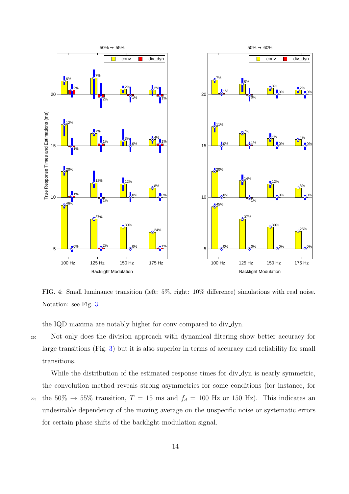

<span id="page-15-0"></span>FIG. 4: Small luminance transition (left: 5%, right: 10% difference) simulations with real noise. Notation: see Fig. [3.](#page-13-0)

the IQD maxima are notably higher for conv compared to div\_dyn.

<sup>220</sup> Not only does the division approach with dynamical filtering show better accuracy for large transitions (Fig. [3\)](#page-13-0) but it is also superior in terms of accuracy and reliability for small transitions.

While the distribution of the estimated response times for div\_dyn is nearly symmetric, the convolution method reveals strong asymmetries for some conditions (for instance, for 225 the 50%  $\rightarrow$  55% transition,  $T = 15$  ms and  $f_d = 100$  Hz or 150 Hz). This indicates an undesirable dependency of the moving average on the unspecific noise or systematic errors for certain phase shifts of the backlight modulation signal.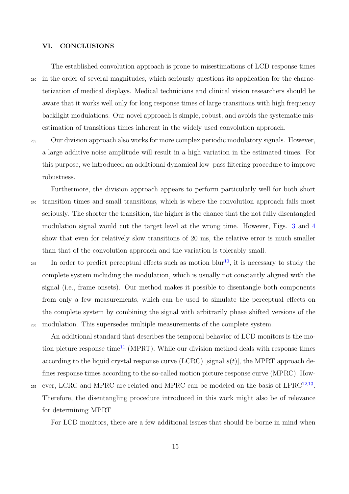#### VI. CONCLUSIONS

The established convolution approach is prone to misestimations of LCD response times <sup>230</sup> in the order of several magnitudes, which seriously questions its application for the characterization of medical displays. Medical technicians and clinical vision researchers should be aware that it works well only for long response times of large transitions with high frequency backlight modulations. Our novel approach is simple, robust, and avoids the systematic misestimation of transitions times inherent in the widely used convolution approach.

<sup>235</sup> Our division approach also works for more complex periodic modulatory signals. However, a large additive noise amplitude will result in a high variation in the estimated times. For this purpose, we introduced an additional dynamical low–pass filtering procedure to improve robustness.

- Furthermore, the division approach appears to perform particularly well for both short <sup>240</sup> transition times and small transitions, which is where the convolution approach fails most seriously. The shorter the transition, the higher is the chance that the not fully disentangled modulation signal would cut the target level at the wrong time. However, Figs. [3](#page-13-0) and [4](#page-15-0) show that even for relatively slow transitions of 20 ms, the relative error is much smaller than that of the convolution approach and the variation is tolerably small.
- 245 In order to predict perceptual effects such as motion blur<sup>[10](#page-18-11)</sup>, it is necessary to study the complete system including the modulation, which is usually not constantly aligned with the signal (i.e., frame onsets). Our method makes it possible to disentangle both components from only a few measurements, which can be used to simulate the perceptual effects on the complete system by combining the signal with arbitrarily phase shifted versions of the <sup>250</sup> modulation. This supersedes multiple measurements of the complete system.

An additional standard that describes the temporal behavior of LCD monitors is the mo-tion picture response time<sup>[11](#page-18-12)</sup> (MPRT). While our division method deals with response times according to the liquid crystal response curve (LCRC) [signal  $s(t)$ ], the MPRT approach defines response times according to the so-called motion picture response curve (MPRC). How-

 $255$  ever, LCRC and MPRC are related and MPRC can be modeled on the basis of LPRC<sup>[12,](#page-19-0)[13](#page-19-1)</sup>. Therefore, the disentangling procedure introduced in this work might also be of relevance for determining MPRT.

For LCD monitors, there are a few additional issues that should be borne in mind when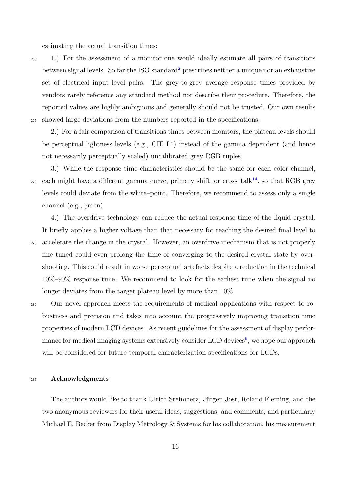estimating the actual transition times:

<sup>260</sup> 1.) For the assessment of a monitor one would ideally estimate all pairs of transitions between signal levels. So far the ISO standard<sup>[2](#page-18-3)</sup> prescribes neither a unique nor an exhaustive set of electrical input level pairs. The grey-to-grey average response times provided by vendors rarely reference any standard method nor describe their procedure. Therefore, the reported values are highly ambiguous and generally should not be trusted. Our own results <sup>265</sup> showed large deviations from the numbers reported in the specifications.

2.) For a fair comparison of transitions times between monitors, the plateau levels should be perceptual lightness levels (e.g., CIE L<sup>∗</sup> ) instead of the gamma dependent (and hence not necessarily perceptually scaled) uncalibrated grey RGB tuples.

3.) While the response time characteristics should be the same for each color channel,  $_{270}$  each might have a different gamma curve, primary shift, or cross-talk<sup>[14](#page-19-2)</sup>, so that RGB grey levels could deviate from the white–point. Therefore, we recommend to assess only a single channel (e.g., green).

4.) The overdrive technology can reduce the actual response time of the liquid crystal. It briefly applies a higher voltage than that necessary for reaching the desired final level to <sup>275</sup> accelerate the change in the crystal. However, an overdrive mechanism that is not properly fine tuned could even prolong the time of converging to the desired crystal state by overshooting. This could result in worse perceptual artefacts despite a reduction in the technical 10%–90% response time. We recommend to look for the earliest time when the signal no longer deviates from the target plateau level by more than 10%.

<sup>280</sup> Our novel approach meets the requirements of medical applications with respect to robustness and precision and takes into account the progressively improving transition time properties of modern LCD devices. As recent guidelines for the assessment of display perfor-mance for medical imaging systems extensively consider LCD devices<sup>[9](#page-18-10)</sup>, we hope our approach will be considered for future temporal characterization specifications for LCDs.

#### <sup>285</sup> Acknowledgments

The authors would like to thank Ulrich Steinmetz, Jürgen Jost, Roland Fleming, and the two anonymous reviewers for their useful ideas, suggestions, and comments, and particularly Michael E. Becker from Display Metrology & Systems for his collaboration, his measurement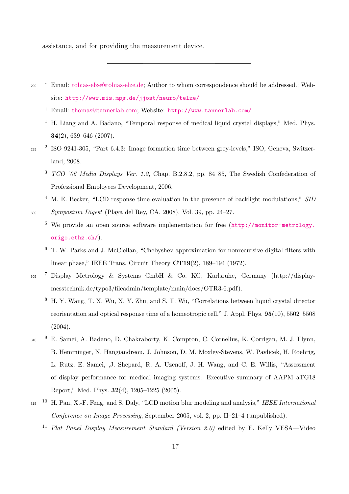assistance, and for providing the measurement device.

- <span id="page-18-2"></span><span id="page-18-1"></span><span id="page-18-0"></span>∗ <sup>290</sup> Email: [tobias-elze@tobias-elze.de;](mailto:tobias-elze@tobias-elze.de) Author to whom correspondence should be addressed.; Website: <http://www.mis.mpg.de/jjost/neuro/telze/>
	- † Email: [thomas@tannerlab.com;](mailto:thomas@tannerlab.com) Website: <http://www.tannerlab.com/>
	- <sup>1</sup> H. Liang and A. Badano, "Temporal response of medical liquid crystal displays," Med. Phys. 34(2), 639–646 (2007).
- <span id="page-18-4"></span><span id="page-18-3"></span>2 <sup>295</sup> ISO 9241-305, "Part 6.4.3: Image formation time between grey-levels," ISO, Geneva, Switzerland, 2008.
	- $3$  TCO '06 Media Displays Ver. 1.2, Chap. B.2.8.2, pp. 84–85, The Swedish Confederation of Professional Employees Development, 2006.
- <span id="page-18-6"></span><span id="page-18-5"></span><sup>4</sup> M. E. Becker, "LCD response time evaluation in the presence of backlight modulations," SID <sup>300</sup> Symposium Digest (Playa del Rey, CA, 2008), Vol. 39, pp. 24–27.
	- <sup>5</sup> We provide an open source software implementation for free ([http://monitor-metrology.](http://monitor-metrology.origo.ethz.ch/) [origo.ethz.ch/](http://monitor-metrology.origo.ethz.ch/)).
	- <sup>6</sup> T. W. Parks and J. McClellan, "Chebyshev approximation for nonrecursive digital filters with linear phase," IEEE Trans. Circuit Theory CT19(2), 189–194 (1972).
- <span id="page-18-9"></span><span id="page-18-8"></span><span id="page-18-7"></span><sup>305</sup> <sup>7</sup> Display Metrology & Systems GmbH & Co. KG, Karlsruhe, Germany (http://displaymesstechnik.de/typo3/fileadmin/template/main/docs/OTR3-6.pdf).
	- <sup>8</sup> H. Y. Wang, T. X. Wu, X. Y. Zhu, and S. T. Wu, "Correlations between liquid crystal director reorientation and optical response time of a homeotropic cell," J. Appl. Phys. 95(10), 5502–5508 (2004).
- <span id="page-18-10"></span>9 <sup>310</sup> E. Samei, A. Badano, D. Chakraborty, K. Compton, C. Cornelius, K. Corrigan, M. J. Flynn, B. Hemminger, N. Hangiandreou, J. Johnson, D. M. Moxley-Stevens, W. Pavlicek, H. Roehrig, L. Rutz, E. Samei, ,J. Shepard, R. A. Uzenoff, J. H. Wang, and C. E. Willis, "Assessment of display performance for medical imaging systems: Executive summary of AAPM aTG18 Report," Med. Phys. 32(4), 1205–1225 (2005).
- <span id="page-18-12"></span><span id="page-18-11"></span><sup>315</sup> <sup>10</sup> H. Pan, X.-F. Feng, and S. Daly, "LCD motion blur modeling and analysis," IEEE International Conference on Image Processing, September 2005, vol. 2, pp. II–21–4 (unpublished).
	- <sup>11</sup> Flat Panel Display Measurement Standard (Version 2.0) edited by E. Kelly VESA—Video